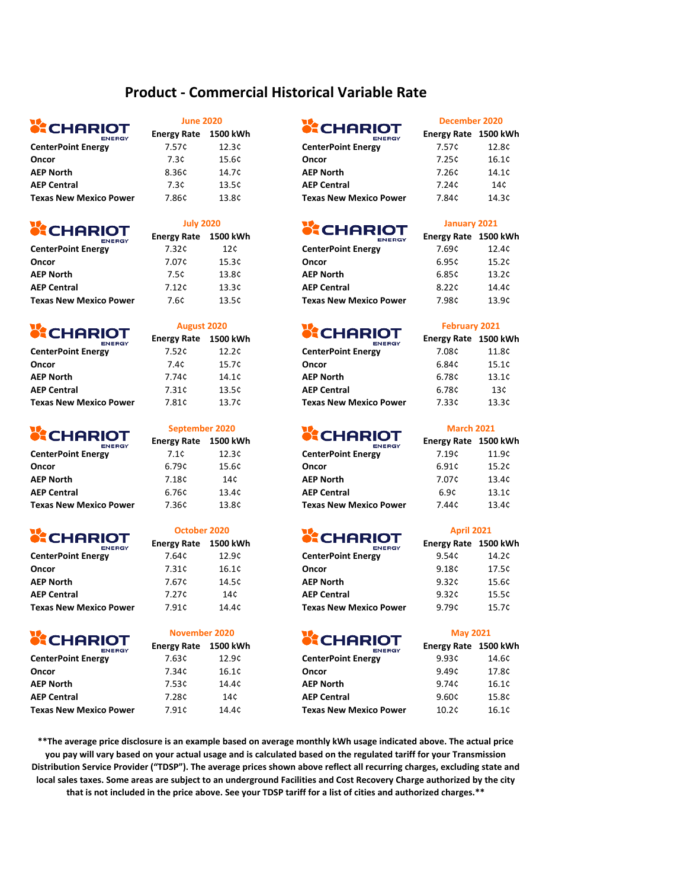## **Product - Commercial Historical Variable Rate**

# **SCHARIOT**

| <b>ENERGY</b>                 |       |       | <b>ENERGY</b>                 |       |       |
|-------------------------------|-------|-------|-------------------------------|-------|-------|
| <b>CenterPoint Energy</b>     | 7.57¢ | 12.3c | <b>CenterPoint Energy</b>     | 7.57¢ | 12.8¢ |
| Oncor                         | 7.3¢  | 15.6¢ | Oncor                         | 7.25¢ | 16.1c |
| <b>AEP North</b>              | 8.36¢ | 14.7¢ | <b>AEP North</b>              | 7.26¢ | 14.1c |
| <b>AEP Central</b>            | 7.3¢  | 13.5c | <b>AEP Central</b>            | 7.24¢ | 14¢   |
| <b>Texas New Mexico Power</b> | 7.86¢ | 13.8¢ | <b>Texas New Mexico Power</b> | 7.84¢ | 14.3¢ |
|                               |       |       |                               |       |       |

# **CHARIOT**

|                               | <b>ENERGY</b> | <b>LIICIKY INGLE</b> |  |
|-------------------------------|---------------|----------------------|--|
| <b>CenterPoint Energy</b>     |               | 7.32¢                |  |
| Oncor                         |               | 7.07¢                |  |
| <b>AEP North</b>              |               | 7.5¢                 |  |
| <b>AEP Central</b>            |               | 7.12c                |  |
| <b>Texas New Mexico Power</b> |               | 7.6¢                 |  |
|                               |               |                      |  |

# **CHARIOT**

| <b>ENERGY</b>                 |       |
|-------------------------------|-------|
| <b>CenterPoint Energy</b>     | 7.52¢ |
| Oncor                         | 7.4¢  |
| <b>AEP North</b>              | 7.74¢ |
| <b>AEP Central</b>            | 7.31¢ |
| <b>Texas New Mexico Power</b> | 7.81¢ |
|                               |       |

# **CHARIOT**

| <b>ENERGY</b>                 | LUCIAVING LJUVNIH |       | <b>ENERGY</b>                 | LUCIAY NONG LJUU NY |       |
|-------------------------------|-------------------|-------|-------------------------------|---------------------|-------|
| <b>CenterPoint Energy</b>     | 7.1¢              | 12.3c | <b>CenterPoint Energy</b>     | 7.19¢               | 11.9¢ |
| Oncor                         | 6.79¢             | 15.6¢ | Oncor                         | 6.91 <sup>c</sup>   | 15.2c |
| <b>AEP North</b>              | 7.18¢             | 14¢   | <b>AEP North</b>              | 7.07¢               | 13.4c |
| <b>AEP Central</b>            | 6.76¢             | 13.4¢ | <b>AEP Central</b>            | 6.9¢                | 13.1c |
| <b>Texas New Mexico Power</b> | 7.36¢             | 13.8¢ | <b>Texas New Mexico Power</b> | 7.44¢               | 13.4¢ |
|                               |                   |       |                               |                     |       |

# **SCHARIOT**

| -8----                        |       |       | -8----                        |       |       |
|-------------------------------|-------|-------|-------------------------------|-------|-------|
| <b>CenterPoint Energy</b>     | 7.64¢ | 12.9¢ | <b>CenterPoint Energy</b>     | 9.54c | 14.2c |
| Oncor                         | 7.31¢ | 16.1c | Oncor                         | 9.18c | 17.5¢ |
| <b>AEP North</b>              | 7.67¢ | 14.5¢ | <b>AEP North</b>              | 9.32c | 15.6¢ |
| <b>AEP Central</b>            | 7.27¢ | 14¢   | <b>AEP Central</b>            | 9.32c | 15.5¢ |
| <b>Texas New Mexico Power</b> | 7.91¢ | 14.4¢ | <b>Texas New Mexico Power</b> | 9.79¢ | 15.7c |

# **CHARIOT**

| <u>FNFPGV</u>                 |      |
|-------------------------------|------|
| <b>CenterPoint Energy</b>     | 7.63 |
| Oncor                         | 7.34 |
| <b>AEP North</b>              | 7.53 |
| <b>AEP Central</b>            | 7.28 |
| <b>Texas New Mexico Power</b> | 7.91 |

### **June 2020**

**July 2020**

**August 2020**

## **Energy Rate 1500 kWh Energy Rate 1500 kWh**

| -----------<br><b>ENERGY</b> | Energy Rate | 1500 kWh | ----------<br><b>ENERGY</b>   | Energy Rate 1500 kWh |                 |
|------------------------------|-------------|----------|-------------------------------|----------------------|-----------------|
| <b>CenterPoint Energy</b>    | 7.57¢       | 12.3¢    | <b>CenterPoint Energy</b>     | 7.57¢                | 12.8¢           |
| Oncor                        | 7.3¢        | 15.6¢    | Oncor                         | 7.25¢                | 16.1¢           |
| AEP North                    | 8.36¢       | 14.7¢    | <b>AEP North</b>              | 7.26¢                | 14.1¢           |
| <b>AEP Central</b>           | 7.3¢        | 13.5¢    | <b>AEP Central</b>            | 7.24¢                | 14 <sub>c</sub> |
| Texas New Mexico Power       | 7.86¢       | 13.8¢    | <b>Texas New Mexico Power</b> | 7.84¢                | 14.3¢           |

## **Energy Rate 1500 kWh Energy Rate 1500 kWh Energy Rate 1500 kWh Energy Rate 1500 kWh**

| <b>ENERGY</b>             |       |       | <b>ENERGY</b>                 |                   | ------ |
|---------------------------|-------|-------|-------------------------------|-------------------|--------|
| <b>CenterPoint Energy</b> | 7.32¢ | 12¢   | <b>CenterPoint Energy</b>     | 7.69¢             | 12.4¢  |
| Oncor                     | 7.07¢ | 15.3¢ | Oncor                         | 6.95¢             | 15.2c  |
| AEP North                 | 7.5¢  | 13.8¢ | <b>AEP North</b>              | 6.85¢             | 13.2c  |
| <b>AEP Central</b>        | 7.12¢ | 13.3c | <b>AEP Central</b>            | 8.22 <sup>c</sup> | 14.4¢  |
| Texas New Mexico Power    | 7.6¢  | 13.5¢ | <b>Texas New Mexico Power</b> | 7.98¢             | 13.9¢  |

## **Energy Rate 1500 kWh Energy Rate 1500 kWh Energy Rate 1500 kWh Energy Rate 1500 kWh**

| -------                   |       |       | --------                      |       |       |
|---------------------------|-------|-------|-------------------------------|-------|-------|
| <b>CenterPoint Energy</b> | 7.52¢ | 12.2c | <b>CenterPoint Energy</b>     | 7.08¢ | 11.8¢ |
| Oncor                     | 7.4¢  | 15.7¢ | Oncor                         | 6.84¢ | 15.1c |
| AEP North                 | 7.74¢ | 14.1¢ | <b>AEP North</b>              | 6.78¢ | 13.1c |
| <b>AEP Central</b>        | 7.31¢ | 13.5¢ | <b>AEP Central</b>            | 6.78¢ | 13¢   |
| Texas New Mexico Power    | 7.81¢ | 13.7¢ | <b>Texas New Mexico Power</b> | 7.33¢ | 13.3c |
|                           |       |       |                               |       |       |

## **Energy Rate 1500 kWh Energy Rate 1500 kWh Energy Rate 1500 kWh Energy Rate 1500 kWh**

| ENERGY                 | . .   |       | ENERGY                        |       |       |
|------------------------|-------|-------|-------------------------------|-------|-------|
| CenterPoint Energy     | 7.1¢  | 12.3c | <b>CenterPoint Energy</b>     | 7.19¢ | 11.9¢ |
| Oncor                  | 6.79¢ | 15.6¢ | Oncor                         | 6.91¢ | 15.2¢ |
| AEP North              | 7.18¢ | 14¢   | <b>AEP North</b>              | 7.07¢ | 13.4¢ |
| <b>AEP Central</b>     | 6.76¢ | 13.4¢ | <b>AEP Central</b>            | 6.9¢  | 13.1c |
| Texas New Mexico Power | 7.36¢ | 13.8¢ | <b>Texas New Mexico Power</b> | 7.44¢ | 13.4¢ |

# **Energy Rate 1500 kWh Energy Rate 1500 kWh Energy Rate 1500 kWh**

| <b>CenterPoint Energy</b> |  |
|---------------------------|--|
| Oncor                     |  |
| <b>AEP North</b>          |  |
| <b>AEP Central</b>        |  |
| Texas New Mexico Power    |  |

## **Energy Rate 1500 kWh Energy Rate 1500 kWh Energy Rate 1500 kWh Energy Rate 1500 kWh**

| ENERGY                    |       |       | ENERGY                        |                   |       |
|---------------------------|-------|-------|-------------------------------|-------------------|-------|
| <b>CenterPoint Energy</b> | 7.63¢ | 12.9¢ | <b>CenterPoint Energy</b>     | 9.93¢             | 14.6¢ |
| Oncor                     | 7.34¢ | 16.1¢ | Oncor                         | 9.49¢             | 17.8¢ |
| AEP North                 | 7.53¢ | 14.4¢ | <b>AEP North</b>              | 9.74 <sup>c</sup> | 16.1c |
| <b>AEP Central</b>        | 7.28¢ | 14¢   | <b>AEP Central</b>            | 9.60¢             | 15.8¢ |
| Texas New Mexico Power    | 7.91¢ | 14.4¢ | <b>Texas New Mexico Power</b> | 10.2c             | 16.1c |

**\*\*The average price disclosure is an example based on average monthly kWh usage indicated above. The actual price you pay will vary based on your actual usage and is calculated based on the regulated tariff for your Transmission Distribution Service Provider ("TDSP"). The average prices shown above reflect all recurring charges, excluding state and local sales taxes. Some areas are subject to an underground Facilities and Cost Recovery Charge authorized by the city that is not included in the price above. See your TDSP tariff for a list of cities and authorized charges.\*\***

**November 2020**

**October 2020**

**September 2020**

#### **February 2021**

**December 2020**

**January 2021**

| Energy Rate 1500 kWh |       |
|----------------------|-------|
| 7.08¢                | 11.8¢ |
| 6.84¢                | 15.1¢ |
| 6.78¢                | 13.1¢ |
| 6.78¢                | 13¢   |
| 7.33¢                | 13.3c |

#### **March 2021**

### **April 2021**

| Energy Rate 1500 kWh |       |
|----------------------|-------|
| 9.54¢                | 14.2¢ |
| 9.18¢                | 17.5¢ |
| 9.32¢                | 15.6¢ |
| 9.32¢                | 15.5¢ |
| 9.79¢                | 15.7¢ |
|                      |       |

#### **May 2021**

| Energy Rate 1500 kWl |       |
|----------------------|-------|
| 9.93¢                | 14.6¢ |
| 9.49¢                | 17.8¢ |
| 9.74¢                | 16.1¢ |
| 9.60¢                | 15.8¢ |
| 10.2c                | 16.1¢ |